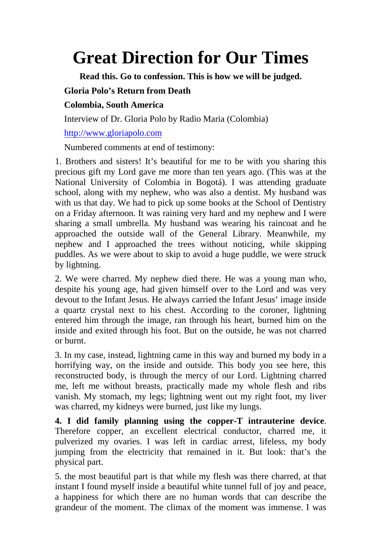# **Great Direction for Our Times**

**Read this. Go to confession. This is how we will be judged.** 

## **Gloria Polo's Return from Death**

### **Colombia, South America**

Interview of Dr. Gloria Polo by Radio Maria (Colombia)

http://www.gloriapolo.com

Numbered comments at end of testimony:

1. Brothers and sisters! It's beautiful for me to be with you sharing this precious gift my Lord gave me more than ten years ago. (This was at the National University of Colombia in Bogotá). I was attending graduate school, along with my nephew, who was also a dentist. My husband was with us that day. We had to pick up some books at the School of Dentistry on a Friday afternoon. It was raining very hard and my nephew and I were sharing a small umbrella. My husband was wearing his raincoat and he approached the outside wall of the General Library. Meanwhile, my nephew and I approached the trees without noticing, while skipping puddles. As we were about to skip to avoid a huge puddle, we were struck by lightning.

2. We were charred. My nephew died there. He was a young man who, despite his young age, had given himself over to the Lord and was very devout to the Infant Jesus. He always carried the Infant Jesus' image inside a quartz crystal next to his chest. According to the coroner, lightning entered him through the image, ran through his heart, burned him on the inside and exited through his foot. But on the outside, he was not charred or burnt.

3. In my case, instead, lightning came in this way and burned my body in a horrifying way, on the inside and outside. This body you see here, this reconstructed body, is through the mercy of our Lord. Lightning charred me, left me without breasts, practically made my whole flesh and ribs vanish. My stomach, my legs; lightning went out my right foot, my liver was charred, my kidneys were burned, just like my lungs.

**4. I did family planning using the copper-T intrauterine device**. Therefore copper, an excellent electrical conductor, charred me, it pulverized my ovaries. I was left in cardiac arrest, lifeless, my body jumping from the electricity that remained in it. But look: that's the physical part.

5. the most beautiful part is that while my flesh was there charred, at that instant I found myself inside a beautiful white tunnel full of joy and peace, a happiness for which there are no human words that can describe the grandeur of the moment. The climax of the moment was immense. I was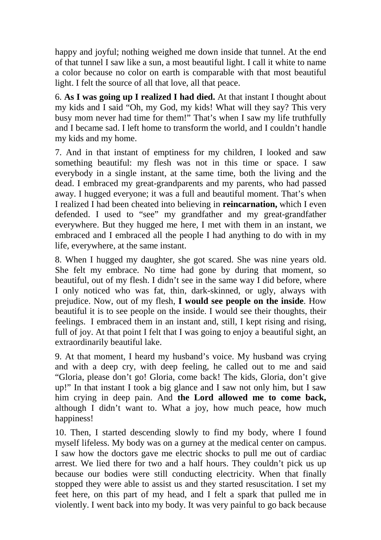happy and joyful; nothing weighed me down inside that tunnel. At the end of that tunnel I saw like a sun, a most beautiful light. I call it white to name a color because no color on earth is comparable with that most beautiful light. I felt the source of all that love, all that peace.

6. **As I was going up I realized I had died.** At that instant I thought about my kids and I said "Oh, my God, my kids! What will they say? This very busy mom never had time for them!" That's when I saw my life truthfully and I became sad. I left home to transform the world, and I couldn't handle my kids and my home.

7. And in that instant of emptiness for my children, I looked and saw something beautiful: my flesh was not in this time or space. I saw everybody in a single instant, at the same time, both the living and the dead. I embraced my great-grandparents and my parents, who had passed away. I hugged everyone; it was a full and beautiful moment. That's when I realized I had been cheated into believing in **reincarnation,** which I even defended. I used to "see" my grandfather and my great-grandfather everywhere. But they hugged me here, I met with them in an instant, we embraced and I embraced all the people I had anything to do with in my life, everywhere, at the same instant.

8. When I hugged my daughter, she got scared. She was nine years old. She felt my embrace. No time had gone by during that moment, so beautiful, out of my flesh. I didn't see in the same way I did before, where I only noticed who was fat, thin, dark-skinned, or ugly, always with prejudice. Now, out of my flesh, **I would see people on the inside**. How beautiful it is to see people on the inside. I would see their thoughts, their feelings. I embraced them in an instant and, still, I kept rising and rising, full of joy. At that point I felt that I was going to enjoy a beautiful sight, an extraordinarily beautiful lake.

9. At that moment, I heard my husband's voice. My husband was crying and with a deep cry, with deep feeling, he called out to me and said "Gloria, please don't go! Gloria, come back! The kids, Gloria, don't give up!" In that instant I took a big glance and I saw not only him, but I saw him crying in deep pain. And **the Lord allowed me to come back,** although I didn't want to. What a joy, how much peace, how much happiness!

10. Then, I started descending slowly to find my body, where I found myself lifeless. My body was on a gurney at the medical center on campus. I saw how the doctors gave me electric shocks to pull me out of cardiac arrest. We lied there for two and a half hours. They couldn't pick us up because our bodies were still conducting electricity. When that finally stopped they were able to assist us and they started resuscitation. I set my feet here, on this part of my head, and I felt a spark that pulled me in violently. I went back into my body. It was very painful to go back because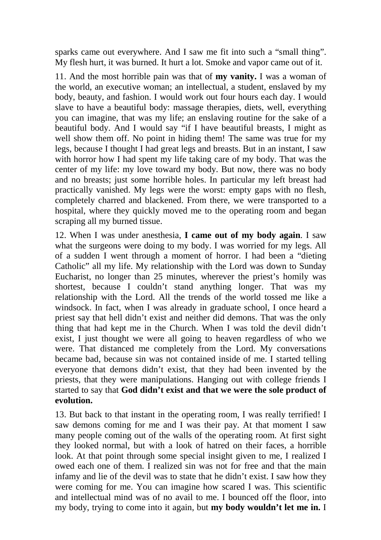sparks came out everywhere. And I saw me fit into such a "small thing". My flesh hurt, it was burned. It hurt a lot. Smoke and vapor came out of it.

11. And the most horrible pain was that of **my vanity.** I was a woman of the world, an executive woman; an intellectual, a student, enslaved by my body, beauty, and fashion. I would work out four hours each day. I would slave to have a beautiful body: massage therapies, diets, well, everything you can imagine, that was my life; an enslaving routine for the sake of a beautiful body. And I would say "if I have beautiful breasts, I might as well show them off. No point in hiding them! The same was true for my legs, because I thought I had great legs and breasts. But in an instant, I saw with horror how I had spent my life taking care of my body. That was the center of my life: my love toward my body. But now, there was no body and no breasts; just some horrible holes. In particular my left breast had practically vanished. My legs were the worst: empty gaps with no flesh, completely charred and blackened. From there, we were transported to a hospital, where they quickly moved me to the operating room and began scraping all my burned tissue.

12. When I was under anesthesia, **I came out of my body again**. I saw what the surgeons were doing to my body. I was worried for my legs. All of a sudden I went through a moment of horror. I had been a "dieting Catholic" all my life. My relationship with the Lord was down to Sunday Eucharist, no longer than 25 minutes, wherever the priest's homily was shortest, because I couldn't stand anything longer. That was my relationship with the Lord. All the trends of the world tossed me like a windsock. In fact, when I was already in graduate school, I once heard a priest say that hell didn't exist and neither did demons. That was the only thing that had kept me in the Church. When I was told the devil didn't exist, I just thought we were all going to heaven regardless of who we were. That distanced me completely from the Lord. My conversations became bad, because sin was not contained inside of me. I started telling everyone that demons didn't exist, that they had been invented by the priests, that they were manipulations. Hanging out with college friends I started to say that **God didn't exist and that we were the sole product of evolution.** 

13. But back to that instant in the operating room, I was really terrified! I saw demons coming for me and I was their pay. At that moment I saw many people coming out of the walls of the operating room. At first sight they looked normal, but with a look of hatred on their faces, a horrible look. At that point through some special insight given to me, I realized I owed each one of them. I realized sin was not for free and that the main infamy and lie of the devil was to state that he didn't exist. I saw how they were coming for me. You can imagine how scared I was. This scientific and intellectual mind was of no avail to me. I bounced off the floor, into my body, trying to come into it again, but **my body wouldn't let me in.** I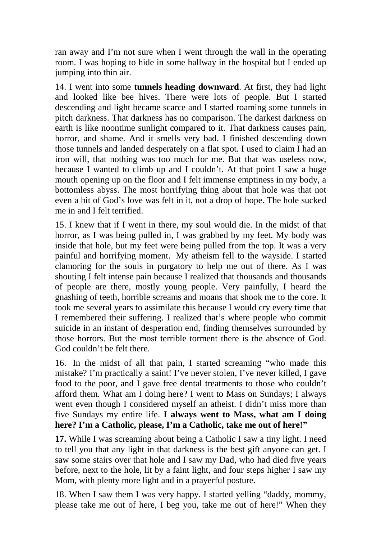ran away and I'm not sure when I went through the wall in the operating room. I was hoping to hide in some hallway in the hospital but I ended up jumping into thin air.

14. I went into some **tunnels heading downward**. At first, they had light and looked like bee hives. There were lots of people. But I started descending and light became scarce and I started roaming some tunnels in pitch darkness. That darkness has no comparison. The darkest darkness on earth is like noontime sunlight compared to it. That darkness causes pain, horror, and shame. And it smells very bad. I finished descending down those tunnels and landed desperately on a flat spot. I used to claim I had an iron will, that nothing was too much for me. But that was useless now, because I wanted to climb up and I couldn't. At that point I saw a huge mouth opening up on the floor and I felt immense emptiness in my body, a bottomless abyss. The most horrifying thing about that hole was that not even a bit of God's love was felt in it, not a drop of hope. The hole sucked me in and I felt terrified.

15. I knew that if I went in there, my soul would die. In the midst of that horror, as I was being pulled in, I was grabbed by my feet. My body was inside that hole, but my feet were being pulled from the top. It was a very painful and horrifying moment. My atheism fell to the wayside. I started clamoring for the souls in purgatory to help me out of there. As I was shouting I felt intense pain because I realized that thousands and thousands of people are there, mostly young people. Very painfully, I heard the gnashing of teeth, horrible screams and moans that shook me to the core. It took me several years to assimilate this because I would cry every time that I remembered their suffering. I realized that's where people who commit suicide in an instant of desperation end, finding themselves surrounded by those horrors. But the most terrible torment there is the absence of God. God couldn't be felt there.

16. In the midst of all that pain, I started screaming "who made this mistake? I'm practically a saint! I've never stolen, I've never killed, I gave food to the poor, and I gave free dental treatments to those who couldn't afford them. What am I doing here? I went to Mass on Sundays; I always went even though I considered myself an atheist. I didn't miss more than five Sundays my entire life. **I always went to Mass, what am I doing here? I'm a Catholic, please, I'm a Catholic, take me out of here!"** 

**17.** While I was screaming about being a Catholic I saw a tiny light. I need to tell you that any light in that darkness is the best gift anyone can get. I saw some stairs over that hole and I saw my Dad, who had died five years before, next to the hole, lit by a faint light, and four steps higher I saw my Mom, with plenty more light and in a prayerful posture.

18. When I saw them I was very happy. I started yelling "daddy, mommy, please take me out of here, I beg you, take me out of here!" When they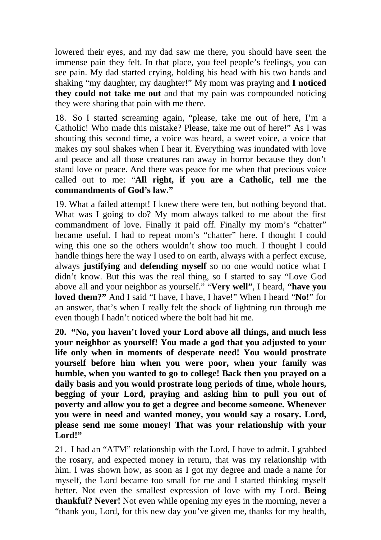lowered their eyes, and my dad saw me there, you should have seen the immense pain they felt. In that place, you feel people's feelings, you can see pain. My dad started crying, holding his head with his two hands and shaking "my daughter, my daughter!" My mom was praying and **I noticed they could not take me out** and that my pain was compounded noticing they were sharing that pain with me there.

18. So I started screaming again, "please, take me out of here, I'm a Catholic! Who made this mistake? Please, take me out of here!" As I was shouting this second time, a voice was heard, a sweet voice, a voice that makes my soul shakes when I hear it. Everything was inundated with love and peace and all those creatures ran away in horror because they don't stand love or peace. And there was peace for me when that precious voice called out to me: "**All right, if you are a Catholic, tell me the commandments of God's law."**

19. What a failed attempt! I knew there were ten, but nothing beyond that. What was I going to do? My mom always talked to me about the first commandment of love. Finally it paid off. Finally my mom's "chatter" became useful. I had to repeat mom's "chatter" here. I thought I could wing this one so the others wouldn't show too much. I thought I could handle things here the way I used to on earth, always with a perfect excuse, always **justifying** and **defending myself** so no one would notice what I didn't know. But this was the real thing, so I started to say "Love God above all and your neighbor as yourself." "**Very well"**, I heard, **"have you loved them?"** And I said "I have, I have, I have!" When I heard "**No!**" for an answer, that's when I really felt the shock of lightning run through me even though I hadn't noticed where the bolt had hit me.

**20. "No, you haven't loved your Lord above all things, and much less your neighbor as yourself! You made a god that you adjusted to your life only when in moments of desperate need! You would prostrate yourself before him when you were poor, when your family was humble, when you wanted to go to college! Back then you prayed on a daily basis and you would prostrate long periods of time, whole hours, begging of your Lord, praying and asking him to pull you out of poverty and allow you to get a degree and become someone. Whenever you were in need and wanted money, you would say a rosary. Lord, please send me some money! That was your relationship with your**  Lord!"

21. I had an "ATM" relationship with the Lord, I have to admit. I grabbed the rosary, and expected money in return, that was my relationship with him. I was shown how, as soon as I got my degree and made a name for myself, the Lord became too small for me and I started thinking myself better. Not even the smallest expression of love with my Lord. **Being thankful? Never!** Not even while opening my eyes in the morning, never a "thank you, Lord, for this new day you've given me, thanks for my health,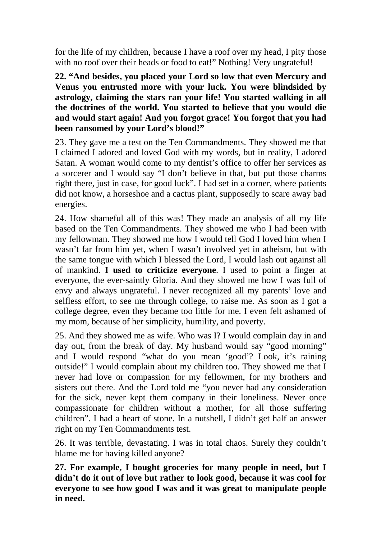for the life of my children, because I have a roof over my head, I pity those with no roof over their heads or food to eat!" Nothing! Very ungrateful!

**22. "And besides, you placed your Lord so low that even Mercury and Venus you entrusted more with your luck. You were blindsided by astrology, claiming the stars ran your life! You started walking in all the doctrines of the world. You started to believe that you would die and would start again! And you forgot grace! You forgot that you had been ransomed by your Lord's blood!"** 

23. They gave me a test on the Ten Commandments. They showed me that I claimed I adored and loved God with my words, but in reality, I adored Satan. A woman would come to my dentist's office to offer her services as a sorcerer and I would say "I don't believe in that, but put those charms right there, just in case, for good luck". I had set in a corner, where patients did not know, a horseshoe and a cactus plant, supposedly to scare away bad energies.

24. How shameful all of this was! They made an analysis of all my life based on the Ten Commandments. They showed me who I had been with my fellowman. They showed me how I would tell God I loved him when I wasn't far from him yet, when I wasn't involved yet in atheism, but with the same tongue with which I blessed the Lord, I would lash out against all of mankind. **I used to criticize everyone**. I used to point a finger at everyone, the ever-saintly Gloria. And they showed me how I was full of envy and always ungrateful. I never recognized all my parents' love and selfless effort, to see me through college, to raise me. As soon as I got a college degree, even they became too little for me. I even felt ashamed of my mom, because of her simplicity, humility, and poverty.

25. And they showed me as wife. Who was I? I would complain day in and day out, from the break of day. My husband would say "good morning" and I would respond "what do you mean 'good'? Look, it's raining outside!" I would complain about my children too. They showed me that I never had love or compassion for my fellowmen, for my brothers and sisters out there. And the Lord told me "you never had any consideration for the sick, never kept them company in their loneliness. Never once compassionate for children without a mother, for all those suffering children". I had a heart of stone. In a nutshell, I didn't get half an answer right on my Ten Commandments test.

26. It was terrible, devastating. I was in total chaos. Surely they couldn't blame me for having killed anyone?

**27. For example, I bought groceries for many people in need, but I didn't do it out of love but rather to look good, because it was cool for everyone to see how good I was and it was great to manipulate people in need.**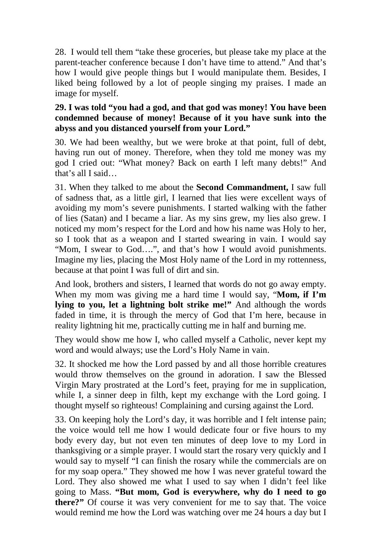28. I would tell them "take these groceries, but please take my place at the parent-teacher conference because I don't have time to attend." And that's how I would give people things but I would manipulate them. Besides, I liked being followed by a lot of people singing my praises. I made an image for myself.

#### **29. I was told "you had a god, and that god was money! You have been condemned because of money! Because of it you have sunk into the abyss and you distanced yourself from your Lord."**

30. We had been wealthy, but we were broke at that point, full of debt, having run out of money. Therefore, when they told me money was my god I cried out: "What money? Back on earth I left many debts!" And that's all I said…

31. When they talked to me about the **Second Commandment,** I saw full of sadness that, as a little girl, I learned that lies were excellent ways of avoiding my mom's severe punishments. I started walking with the father of lies (Satan) and I became a liar. As my sins grew, my lies also grew. I noticed my mom's respect for the Lord and how his name was Holy to her, so I took that as a weapon and I started swearing in vain. I would say "Mom, I swear to God….", and that's how I would avoid punishments. Imagine my lies, placing the Most Holy name of the Lord in my rottenness, because at that point I was full of dirt and sin.

And look, brothers and sisters, I learned that words do not go away empty. When my mom was giving me a hard time I would say, "**Mom, if I'm lying to you, let a lightning bolt strike me!"** And although the words faded in time, it is through the mercy of God that I'm here, because in reality lightning hit me, practically cutting me in half and burning me.

They would show me how I, who called myself a Catholic, never kept my word and would always; use the Lord's Holy Name in vain.

32. It shocked me how the Lord passed by and all those horrible creatures would throw themselves on the ground in adoration. I saw the Blessed Virgin Mary prostrated at the Lord's feet, praying for me in supplication, while I, a sinner deep in filth, kept my exchange with the Lord going. I thought myself so righteous! Complaining and cursing against the Lord.

33. On keeping holy the Lord's day, it was horrible and I felt intense pain; the voice would tell me how I would dedicate four or five hours to my body every day, but not even ten minutes of deep love to my Lord in thanksgiving or a simple prayer. I would start the rosary very quickly and I would say to myself "I can finish the rosary while the commercials are on for my soap opera." They showed me how I was never grateful toward the Lord. They also showed me what I used to say when I didn't feel like going to Mass. **"But mom, God is everywhere, why do I need to go there?"** Of course it was very convenient for me to say that. The voice would remind me how the Lord was watching over me 24 hours a day but I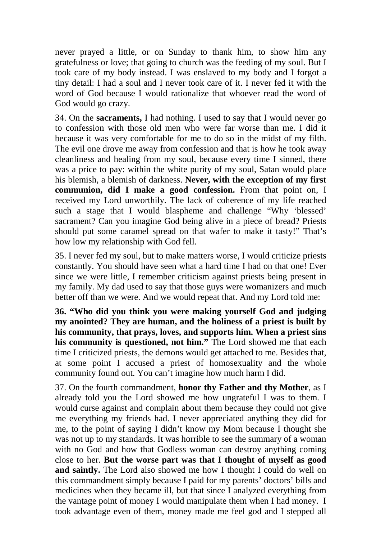never prayed a little, or on Sunday to thank him, to show him any gratefulness or love; that going to church was the feeding of my soul. But I took care of my body instead. I was enslaved to my body and I forgot a tiny detail: I had a soul and I never took care of it. I never fed it with the word of God because I would rationalize that whoever read the word of God would go crazy.

34. On the **sacraments,** I had nothing. I used to say that I would never go to confession with those old men who were far worse than me. I did it because it was very comfortable for me to do so in the midst of my filth. The evil one drove me away from confession and that is how he took away cleanliness and healing from my soul, because every time I sinned, there was a price to pay: within the white purity of my soul, Satan would place his blemish, a blemish of darkness. **Never, with the exception of my first communion, did I make a good confession.** From that point on, I received my Lord unworthily. The lack of coherence of my life reached such a stage that I would blaspheme and challenge "Why 'blessed' sacrament? Can you imagine God being alive in a piece of bread? Priests should put some caramel spread on that wafer to make it tasty!" That's how low my relationship with God fell.

35. I never fed my soul, but to make matters worse, I would criticize priests constantly. You should have seen what a hard time I had on that one! Ever since we were little, I remember criticism against priests being present in my family. My dad used to say that those guys were womanizers and much better off than we were. And we would repeat that. And my Lord told me:

**36. "Who did you think you were making yourself God and judging my anointed? They are human, and the holiness of a priest is built by his community, that prays, loves, and supports him. When a priest sins his community is questioned, not him."** The Lord showed me that each time I criticized priests, the demons would get attached to me. Besides that, at some point I accused a priest of homosexuality and the whole community found out. You can't imagine how much harm I did.

37. On the fourth commandment, **honor thy Father and thy Mother**, as I already told you the Lord showed me how ungrateful I was to them. I would curse against and complain about them because they could not give me everything my friends had. I never appreciated anything they did for me, to the point of saying I didn't know my Mom because I thought she was not up to my standards. It was horrible to see the summary of a woman with no God and how that Godless woman can destroy anything coming close to her. **But the worse part was that I thought of myself as good and saintly.** The Lord also showed me how I thought I could do well on this commandment simply because I paid for my parents' doctors' bills and medicines when they became ill, but that since I analyzed everything from the vantage point of money I would manipulate them when I had money. I took advantage even of them, money made me feel god and I stepped all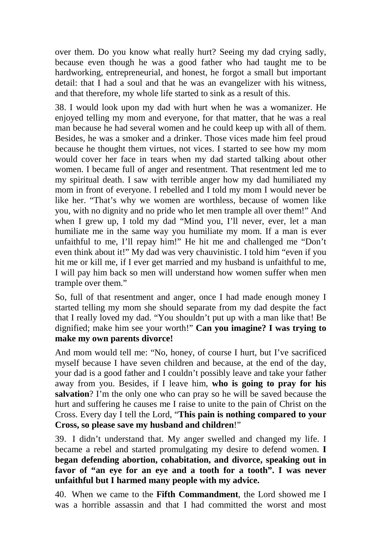over them. Do you know what really hurt? Seeing my dad crying sadly, because even though he was a good father who had taught me to be hardworking, entrepreneurial, and honest, he forgot a small but important detail: that I had a soul and that he was an evangelizer with his witness, and that therefore, my whole life started to sink as a result of this.

38. I would look upon my dad with hurt when he was a womanizer. He enjoyed telling my mom and everyone, for that matter, that he was a real man because he had several women and he could keep up with all of them. Besides, he was a smoker and a drinker. Those vices made him feel proud because he thought them virtues, not vices. I started to see how my mom would cover her face in tears when my dad started talking about other women. I became full of anger and resentment. That resentment led me to my spiritual death. I saw with terrible anger how my dad humiliated my mom in front of everyone. I rebelled and I told my mom I would never be like her. "That's why we women are worthless, because of women like you, with no dignity and no pride who let men trample all over them!" And when I grew up, I told my dad "Mind you, I'll never, ever, let a man humiliate me in the same way you humiliate my mom. If a man is ever unfaithful to me, I'll repay him!" He hit me and challenged me "Don't even think about it!" My dad was very chauvinistic. I told him "even if you hit me or kill me, if I ever get married and my husband is unfaithful to me, I will pay him back so men will understand how women suffer when men trample over them."

So, full of that resentment and anger, once I had made enough money I started telling my mom she should separate from my dad despite the fact that I really loved my dad. "You shouldn't put up with a man like that! Be dignified; make him see your worth!" **Can you imagine? I was trying to make my own parents divorce!**

And mom would tell me: "No, honey, of course I hurt, but I've sacrificed myself because I have seven children and because, at the end of the day, your dad is a good father and I couldn't possibly leave and take your father away from you. Besides, if I leave him, **who is going to pray for his salvation**? I'm the only one who can pray so he will be saved because the hurt and suffering he causes me I raise to unite to the pain of Christ on the Cross. Every day I tell the Lord, "**This pain is nothing compared to your Cross, so please save my husband and children**!"

39. I didn't understand that. My anger swelled and changed my life. I became a rebel and started promulgating my desire to defend women. **I began defending abortion, cohabitation, and divorce, speaking out in favor of "an eye for an eye and a tooth for a tooth". I was never unfaithful but I harmed many people with my advice.**

40. When we came to the **Fifth Commandment**, the Lord showed me I was a horrible assassin and that I had committed the worst and most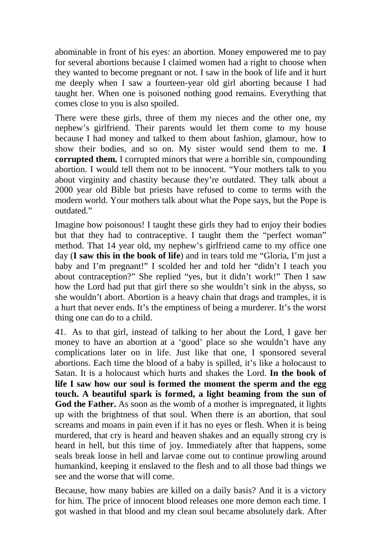abominable in front of his eyes: an abortion. Money empowered me to pay for several abortions because I claimed women had a right to choose when they wanted to become pregnant or not. I saw in the book of life and it hurt me deeply when I saw a fourteen-year old girl aborting because I had taught her. When one is poisoned nothing good remains. Everything that comes close to you is also spoiled.

There were these girls, three of them my nieces and the other one, my nephew's girlfriend. Their parents would let them come to my house because I had money and talked to them about fashion, glamour, how to show their bodies, and so on. My sister would send them to me. **I corrupted them.** I corrupted minors that were a horrible sin, compounding abortion. I would tell them not to be innocent. "Your mothers talk to you about virginity and chastity because they're outdated. They talk about a 2000 year old Bible but priests have refused to come to terms with the modern world. Your mothers talk about what the Pope says, but the Pope is outdated."

Imagine how poisonous! I taught these girls they had to enjoy their bodies but that they had to contraceptive. I taught them the "perfect woman" method. That 14 year old, my nephew's girlfriend came to my office one day (**I saw this in the book of life**) and in tears told me "Gloria, I'm just a baby and I'm pregnant!" I scolded her and told her "didn't I teach you about contraception?" She replied "yes, but it didn't work!" Then I saw how the Lord had put that girl there so she wouldn't sink in the abyss, so she wouldn't abort. Abortion is a heavy chain that drags and tramples, it is a hurt that never ends. It's the emptiness of being a murderer. It's the worst thing one can do to a child.

41. As to that girl, instead of talking to her about the Lord, I gave her money to have an abortion at a 'good' place so she wouldn't have any complications later on in life. Just like that one, I sponsored several abortions. Each time the blood of a baby is spilled, it's like a holocaust to Satan. It is a holocaust which hurts and shakes the Lord. **In the book of life I saw how our soul is formed the moment the sperm and the egg touch. A beautiful spark is formed, a light beaming from the sun of God the Father.** As soon as the womb of a mother is impregnated, it lights up with the brightness of that soul. When there is an abortion, that soul screams and moans in pain even if it has no eyes or flesh. When it is being murdered, that cry is heard and heaven shakes and an equally strong cry is heard in hell, but this time of joy. Immediately after that happens, some seals break loose in hell and larvae come out to continue prowling around humankind, keeping it enslaved to the flesh and to all those bad things we see and the worse that will come.

Because, how many babies are killed on a daily basis? And it is a victory for him. The price of innocent blood releases one more demon each time. I got washed in that blood and my clean soul became absolutely dark. After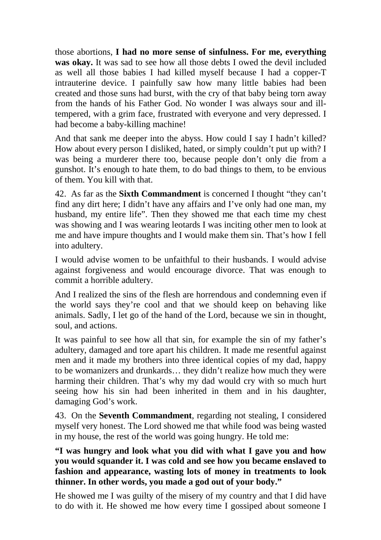those abortions, **I had no more sense of sinfulness. For me, everything was okay.** It was sad to see how all those debts I owed the devil included as well all those babies I had killed myself because I had a copper-T intrauterine device. I painfully saw how many little babies had been created and those suns had burst, with the cry of that baby being torn away from the hands of his Father God. No wonder I was always sour and illtempered, with a grim face, frustrated with everyone and very depressed. I had become a baby-killing machine!

And that sank me deeper into the abyss. How could I say I hadn't killed? How about every person I disliked, hated, or simply couldn't put up with? I was being a murderer there too, because people don't only die from a gunshot. It's enough to hate them, to do bad things to them, to be envious of them. You kill with that.

42. As far as the **Sixth Commandment** is concerned I thought "they can't find any dirt here; I didn't have any affairs and I've only had one man, my husband, my entire life". Then they showed me that each time my chest was showing and I was wearing leotards I was inciting other men to look at me and have impure thoughts and I would make them sin. That's how I fell into adultery.

I would advise women to be unfaithful to their husbands. I would advise against forgiveness and would encourage divorce. That was enough to commit a horrible adultery.

And I realized the sins of the flesh are horrendous and condemning even if the world says they're cool and that we should keep on behaving like animals. Sadly, I let go of the hand of the Lord, because we sin in thought, soul, and actions.

It was painful to see how all that sin, for example the sin of my father's adultery, damaged and tore apart his children. It made me resentful against men and it made my brothers into three identical copies of my dad, happy to be womanizers and drunkards… they didn't realize how much they were harming their children. That's why my dad would cry with so much hurt seeing how his sin had been inherited in them and in his daughter, damaging God's work.

43. On the **Seventh Commandment**, regarding not stealing, I considered myself very honest. The Lord showed me that while food was being wasted in my house, the rest of the world was going hungry. He told me:

#### **"I was hungry and look what you did with what I gave you and how you would squander it. I was cold and see how you became enslaved to fashion and appearance, wasting lots of money in treatments to look thinner. In other words, you made a god out of your body."**

He showed me I was guilty of the misery of my country and that I did have to do with it. He showed me how every time I gossiped about someone I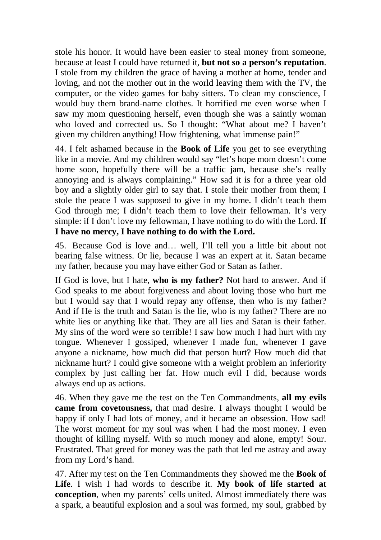stole his honor. It would have been easier to steal money from someone, because at least I could have returned it, **but not so a person's reputation**. I stole from my children the grace of having a mother at home, tender and loving, and not the mother out in the world leaving them with the TV, the computer, or the video games for baby sitters. To clean my conscience, I would buy them brand-name clothes. It horrified me even worse when I saw my mom questioning herself, even though she was a saintly woman who loved and corrected us. So I thought: "What about me? I haven't given my children anything! How frightening, what immense pain!"

44. I felt ashamed because in the **Book of Life** you get to see everything like in a movie. And my children would say "let's hope mom doesn't come home soon, hopefully there will be a traffic jam, because she's really annoying and is always complaining." How sad it is for a three year old boy and a slightly older girl to say that. I stole their mother from them; I stole the peace I was supposed to give in my home. I didn't teach them God through me; I didn't teach them to love their fellowman. It's very simple: if I don't love my fellowman, I have nothing to do with the Lord. **If I have no mercy, I have nothing to do with the Lord.**

45. Because God is love and… well, I'll tell you a little bit about not bearing false witness. Or lie, because I was an expert at it. Satan became my father, because you may have either God or Satan as father.

If God is love, but I hate, **who is my father?** Not hard to answer. And if God speaks to me about forgiveness and about loving those who hurt me but I would say that I would repay any offense, then who is my father? And if He is the truth and Satan is the lie, who is my father? There are no white lies or anything like that. They are all lies and Satan is their father. My sins of the word were so terrible! I saw how much I had hurt with my tongue. Whenever I gossiped, whenever I made fun, whenever I gave anyone a nickname, how much did that person hurt? How much did that nickname hurt? I could give someone with a weight problem an inferiority complex by just calling her fat. How much evil I did, because words always end up as actions.

46. When they gave me the test on the Ten Commandments, **all my evils came from covetousness,** that mad desire. I always thought I would be happy if only I had lots of money, and it became an obsession. How sad! The worst moment for my soul was when I had the most money. I even thought of killing myself. With so much money and alone, empty! Sour. Frustrated. That greed for money was the path that led me astray and away from my Lord's hand.

47. After my test on the Ten Commandments they showed me the **Book of Life**. I wish I had words to describe it. **My book of life started at conception**, when my parents' cells united. Almost immediately there was a spark, a beautiful explosion and a soul was formed, my soul, grabbed by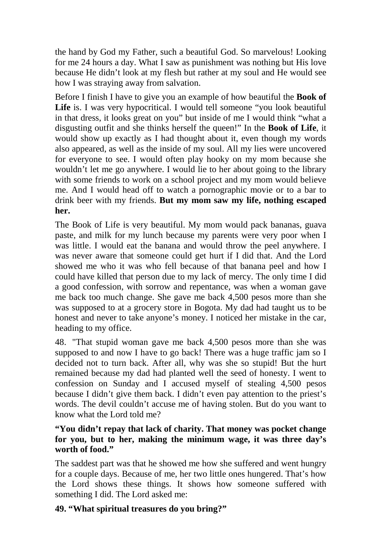the hand by God my Father, such a beautiful God. So marvelous! Looking for me 24 hours a day. What I saw as punishment was nothing but His love because He didn't look at my flesh but rather at my soul and He would see how I was straying away from salvation.

Before I finish I have to give you an example of how beautiful the **Book of**  Life is. I was very hypocritical. I would tell someone "you look beautiful in that dress, it looks great on you" but inside of me I would think "what a disgusting outfit and she thinks herself the queen!" In the **Book of Life**, it would show up exactly as I had thought about it, even though my words also appeared, as well as the inside of my soul. All my lies were uncovered for everyone to see. I would often play hooky on my mom because she wouldn't let me go anywhere. I would lie to her about going to the library with some friends to work on a school project and my mom would believe me. And I would head off to watch a pornographic movie or to a bar to drink beer with my friends. **But my mom saw my life, nothing escaped her.**

The Book of Life is very beautiful. My mom would pack bananas, guava paste, and milk for my lunch because my parents were very poor when I was little. I would eat the banana and would throw the peel anywhere. I was never aware that someone could get hurt if I did that. And the Lord showed me who it was who fell because of that banana peel and how I could have killed that person due to my lack of mercy. The only time I did a good confession, with sorrow and repentance, was when a woman gave me back too much change. She gave me back 4,500 pesos more than she was supposed to at a grocery store in Bogota. My dad had taught us to be honest and never to take anyone's money. I noticed her mistake in the car, heading to my office.

48. "That stupid woman gave me back 4,500 pesos more than she was supposed to and now I have to go back! There was a huge traffic jam so I decided not to turn back. After all, why was she so stupid! But the hurt remained because my dad had planted well the seed of honesty. I went to confession on Sunday and I accused myself of stealing 4,500 pesos because I didn't give them back. I didn't even pay attention to the priest's words. The devil couldn't accuse me of having stolen. But do you want to know what the Lord told me?

#### **"You didn't repay that lack of charity. That money was pocket change for you, but to her, making the minimum wage, it was three day's worth of food."**

The saddest part was that he showed me how she suffered and went hungry for a couple days. Because of me, her two little ones hungered. That's how the Lord shows these things. It shows how someone suffered with something I did. The Lord asked me:

# **49. "What spiritual treasures do you bring?"**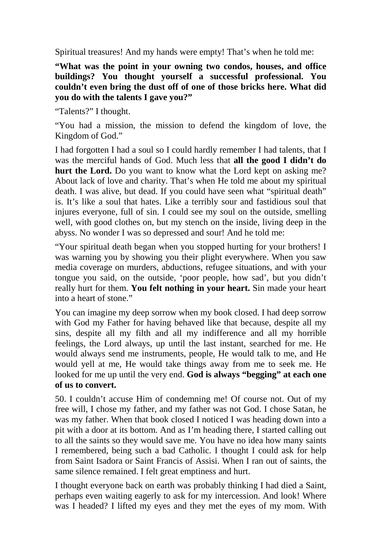Spiritual treasures! And my hands were empty! That's when he told me:

**"What was the point in your owning two condos, houses, and office buildings? You thought yourself a successful professional. You couldn't even bring the dust off of one of those bricks here. What did you do with the talents I gave you?"** 

"Talents?" I thought.

"You had a mission, the mission to defend the kingdom of love, the Kingdom of God."

I had forgotten I had a soul so I could hardly remember I had talents, that I was the merciful hands of God. Much less that **all the good I didn't do hurt the Lord.** Do you want to know what the Lord kept on asking me? About lack of love and charity. That's when He told me about my spiritual death. I was alive, but dead. If you could have seen what "spiritual death" is. It's like a soul that hates. Like a terribly sour and fastidious soul that injures everyone, full of sin. I could see my soul on the outside, smelling well, with good clothes on, but my stench on the inside, living deep in the abyss. No wonder I was so depressed and sour! And he told me:

"Your spiritual death began when you stopped hurting for your brothers! I was warning you by showing you their plight everywhere. When you saw media coverage on murders, abductions, refugee situations, and with your tongue you said, on the outside, 'poor people, how sad', but you didn't really hurt for them. **You felt nothing in your heart.** Sin made your heart into a heart of stone."

You can imagine my deep sorrow when my book closed. I had deep sorrow with God my Father for having behaved like that because, despite all my sins, despite all my filth and all my indifference and all my horrible feelings, the Lord always, up until the last instant, searched for me. He would always send me instruments, people, He would talk to me, and He would yell at me, He would take things away from me to seek me. He looked for me up until the very end. **God is always "begging" at each one of us to convert.** 

50. I couldn't accuse Him of condemning me! Of course not. Out of my free will, I chose my father, and my father was not God. I chose Satan, he was my father. When that book closed I noticed I was heading down into a pit with a door at its bottom. And as I'm heading there, I started calling out to all the saints so they would save me. You have no idea how many saints I remembered, being such a bad Catholic. I thought I could ask for help from Saint Isadora or Saint Francis of Assisi. When I ran out of saints, the same silence remained. I felt great emptiness and hurt.

I thought everyone back on earth was probably thinking I had died a Saint, perhaps even waiting eagerly to ask for my intercession. And look! Where was I headed? I lifted my eyes and they met the eyes of my mom. With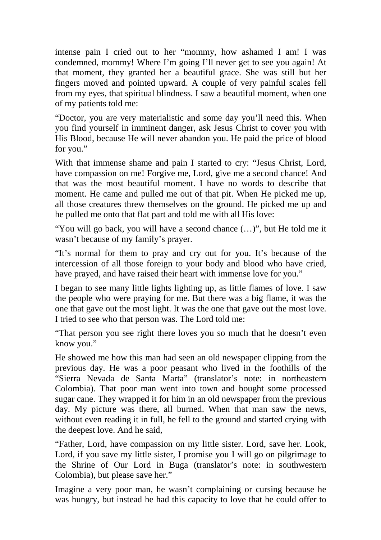intense pain I cried out to her "mommy, how ashamed I am! I was condemned, mommy! Where I'm going I'll never get to see you again! At that moment, they granted her a beautiful grace. She was still but her fingers moved and pointed upward. A couple of very painful scales fell from my eyes, that spiritual blindness. I saw a beautiful moment, when one of my patients told me:

"Doctor, you are very materialistic and some day you'll need this. When you find yourself in imminent danger, ask Jesus Christ to cover you with His Blood, because He will never abandon you. He paid the price of blood for you."

With that immense shame and pain I started to cry: "Jesus Christ, Lord, have compassion on me! Forgive me, Lord, give me a second chance! And that was the most beautiful moment. I have no words to describe that moment. He came and pulled me out of that pit. When He picked me up, all those creatures threw themselves on the ground. He picked me up and he pulled me onto that flat part and told me with all His love:

"You will go back, you will have a second chance (…)", but He told me it wasn't because of my family's prayer.

"It's normal for them to pray and cry out for you. It's because of the intercession of all those foreign to your body and blood who have cried, have prayed, and have raised their heart with immense love for you."

I began to see many little lights lighting up, as little flames of love. I saw the people who were praying for me. But there was a big flame, it was the one that gave out the most light. It was the one that gave out the most love. I tried to see who that person was. The Lord told me:

"That person you see right there loves you so much that he doesn't even know you."

He showed me how this man had seen an old newspaper clipping from the previous day. He was a poor peasant who lived in the foothills of the "Sierra Nevada de Santa Marta" (translator's note: in northeastern Colombia). That poor man went into town and bought some processed sugar cane. They wrapped it for him in an old newspaper from the previous day. My picture was there, all burned. When that man saw the news, without even reading it in full, he fell to the ground and started crying with the deepest love. And he said,

"Father, Lord, have compassion on my little sister. Lord, save her. Look, Lord, if you save my little sister, I promise you I will go on pilgrimage to the Shrine of Our Lord in Buga (translator's note: in southwestern Colombia), but please save her."

Imagine a very poor man, he wasn't complaining or cursing because he was hungry, but instead he had this capacity to love that he could offer to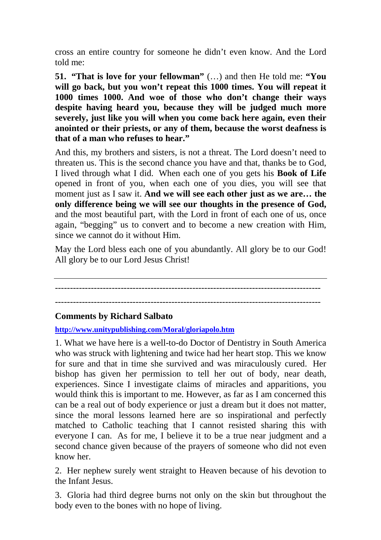cross an entire country for someone he didn't even know. And the Lord told me:

**51. "That is love for your fellowman"** (…) and then He told me: **"You will go back, but you won't repeat this 1000 times. You will repeat it 1000 times 1000. And woe of those who don't change their ways despite having heard you, because they will be judged much more severely, just like you will when you come back here again, even their anointed or their priests, or any of them, because the worst deafness is that of a man who refuses to hear."** 

And this, my brothers and sisters, is not a threat. The Lord doesn't need to threaten us. This is the second chance you have and that, thanks be to God, I lived through what I did. When each one of you gets his **Book of Life** opened in front of you, when each one of you dies, you will see that moment just as I saw it. **And we will see each other just as we are… the only difference being we will see our thoughts in the presence of God,** and the most beautiful part, with the Lord in front of each one of us, once again, "begging" us to convert and to become a new creation with Him, since we cannot do it without Him.

May the Lord bless each one of you abundantly. All glory be to our God! All glory be to our Lord Jesus Christ!

# ----------------------------------------------------------------------------------------- -----------------------------------------------------------------------------------------

#### **Comments by Richard Salbato**

**http://www.unitypublishing.com/Moral/gloriapolo.htm**

1. What we have here is a well-to-do Doctor of Dentistry in South America who was struck with lightening and twice had her heart stop. This we know for sure and that in time she survived and was miraculously cured. Her bishop has given her permission to tell her out of body, near death, experiences. Since I investigate claims of miracles and apparitions, you would think this is important to me. However, as far as I am concerned this can be a real out of body experience or just a dream but it does not matter, since the moral lessons learned here are so inspirational and perfectly matched to Catholic teaching that I cannot resisted sharing this with everyone I can. As for me, I believe it to be a true near judgment and a second chance given because of the prayers of someone who did not even know her.

2. Her nephew surely went straight to Heaven because of his devotion to the Infant Jesus.

3. Gloria had third degree burns not only on the skin but throughout the body even to the bones with no hope of living.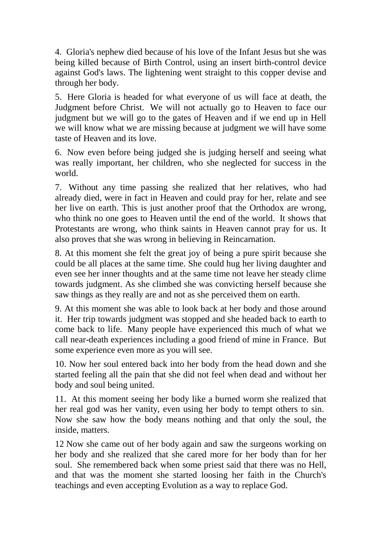4. Gloria's nephew died because of his love of the Infant Jesus but she was being killed because of Birth Control, using an insert birth-control device against God's laws. The lightening went straight to this copper devise and through her body.

5. Here Gloria is headed for what everyone of us will face at death, the Judgment before Christ. We will not actually go to Heaven to face our judgment but we will go to the gates of Heaven and if we end up in Hell we will know what we are missing because at judgment we will have some taste of Heaven and its love.

6. Now even before being judged she is judging herself and seeing what was really important, her children, who she neglected for success in the world.

7. Without any time passing she realized that her relatives, who had already died, were in fact in Heaven and could pray for her, relate and see her live on earth. This is just another proof that the Orthodox are wrong, who think no one goes to Heaven until the end of the world. It shows that Protestants are wrong, who think saints in Heaven cannot pray for us. It also proves that she was wrong in believing in Reincarnation.

8. At this moment she felt the great joy of being a pure spirit because she could be all places at the same time. She could hug her living daughter and even see her inner thoughts and at the same time not leave her steady clime towards judgment. As she climbed she was convicting herself because she saw things as they really are and not as she perceived them on earth.

9. At this moment she was able to look back at her body and those around it. Her trip towards judgment was stopped and she headed back to earth to come back to life. Many people have experienced this much of what we call near-death experiences including a good friend of mine in France. But some experience even more as you will see.

10. Now her soul entered back into her body from the head down and she started feeling all the pain that she did not feel when dead and without her body and soul being united.

11. At this moment seeing her body like a burned worm she realized that her real god was her vanity, even using her body to tempt others to sin. Now she saw how the body means nothing and that only the soul, the inside, matters.

12 Now she came out of her body again and saw the surgeons working on her body and she realized that she cared more for her body than for her soul. She remembered back when some priest said that there was no Hell, and that was the moment she started loosing her faith in the Church's teachings and even accepting Evolution as a way to replace God.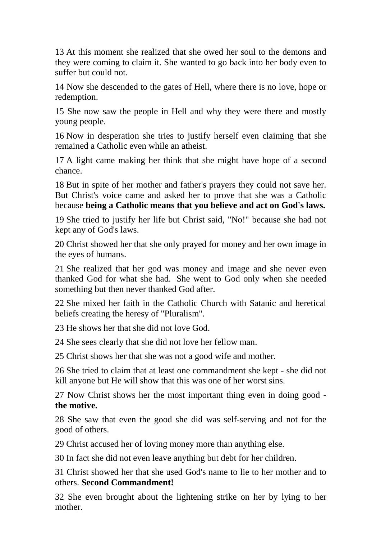13 At this moment she realized that she owed her soul to the demons and they were coming to claim it. She wanted to go back into her body even to suffer but could not.

14 Now she descended to the gates of Hell, where there is no love, hope or redemption.

15 She now saw the people in Hell and why they were there and mostly young people.

16 Now in desperation she tries to justify herself even claiming that she remained a Catholic even while an atheist.

17 A light came making her think that she might have hope of a second chance.

18 But in spite of her mother and father's prayers they could not save her. But Christ's voice came and asked her to prove that she was a Catholic because **being a Catholic means that you believe and act on God's laws.**

19 She tried to justify her life but Christ said, "No!" because she had not kept any of God's laws.

20 Christ showed her that she only prayed for money and her own image in the eyes of humans.

21 She realized that her god was money and image and she never even thanked God for what she had. She went to God only when she needed something but then never thanked God after.

22 She mixed her faith in the Catholic Church with Satanic and heretical beliefs creating the heresy of "Pluralism".

23 He shows her that she did not love God.

24 She sees clearly that she did not love her fellow man.

25 Christ shows her that she was not a good wife and mother.

26 She tried to claim that at least one commandment she kept - she did not kill anyone but He will show that this was one of her worst sins.

27 Now Christ shows her the most important thing even in doing good **the motive.**

28 She saw that even the good she did was self-serving and not for the good of others.

29 Christ accused her of loving money more than anything else.

30 In fact she did not even leave anything but debt for her children.

31 Christ showed her that she used God's name to lie to her mother and to others. **Second Commandment!** 

32 She even brought about the lightening strike on her by lying to her mother.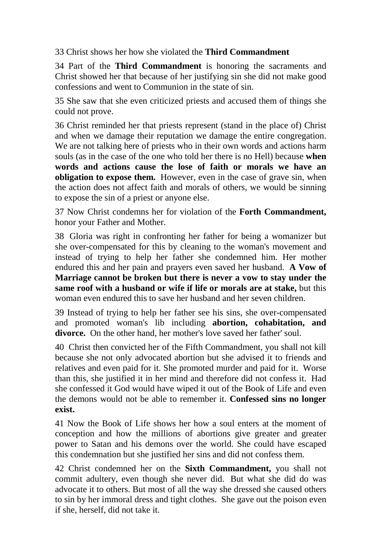33 Christ shows her how she violated the **Third Commandment**

34 Part of the **Third Commandment** is honoring the sacraments and Christ showed her that because of her justifying sin she did not make good confessions and went to Communion in the state of sin.

35 She saw that she even criticized priests and accused them of things she could not prove.

36 Christ reminded her that priests represent (stand in the place of) Christ and when we damage their reputation we damage the entire congregation. We are not talking here of priests who in their own words and actions harm souls (as in the case of the one who told her there is no Hell) because **when words and actions cause the lose of faith or morals we have an obligation to expose them.** However, even in the case of grave sin, when the action does not affect faith and morals of others, we would be sinning to expose the sin of a priest or anyone else.

37 Now Christ condemns her for violation of the **Forth Commandment,** honor your Father and Mother.

38 Gloria was right in confronting her father for being a womanizer but she over-compensated for this by cleaning to the woman's movement and instead of trying to help her father she condemned him. Her mother endured this and her pain and prayers even saved her husband. **A Vow of Marriage cannot be broken but there is never a vow to stay under the same roof with a husband or wife if life or morals are at stake,** but this woman even endured this to save her husband and her seven children.

39 Instead of trying to help her father see his sins, she over-compensated and promoted woman's lib including **abortion, cohabitation, and divorce.** On the other hand, her mother's love saved her father' soul.

40 Christ then convicted her of the Fifth Commandment, you shall not kill because she not only advocated abortion but she advised it to friends and relatives and even paid for it. She promoted murder and paid for it. Worse than this, she justified it in her mind and therefore did not confess it. Had she confessed it God would have wiped it out of the Book of Life and even the demons would not be able to remember it. **Confessed sins no longer exist.**

41 Now the Book of Life shows her how a soul enters at the moment of conception and how the millions of abortions give greater and greater power to Satan and his demons over the world. She could have escaped this condemnation but she justified her sins and did not confess them.

42 Christ condemned her on the **Sixth Commandment,** you shall not commit adultery, even though she never did. But what she did do was advocate it to others. But most of all the way she dressed she caused others to sin by her immoral dress and tight clothes. She gave out the poison even if she, herself, did not take it.